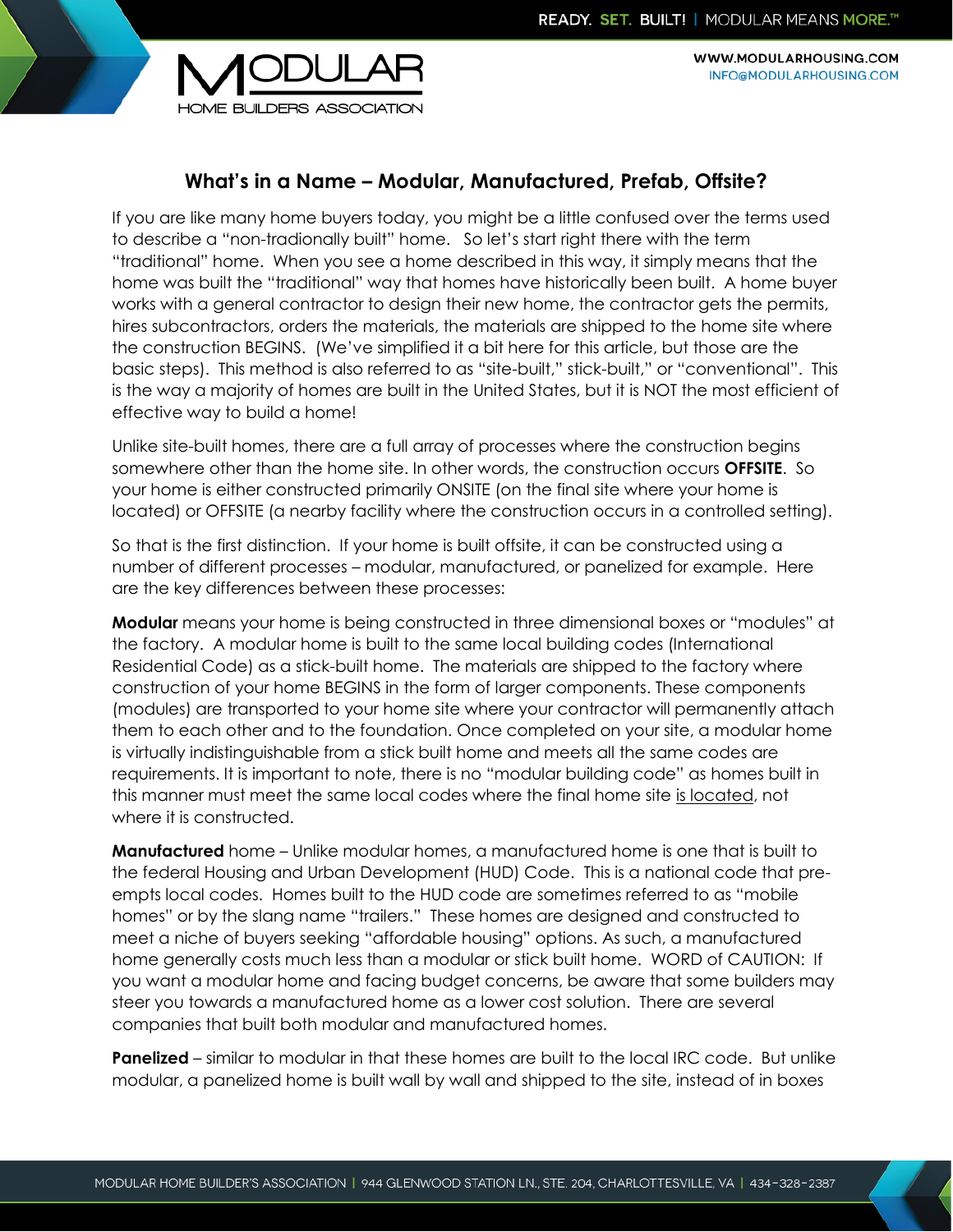

WWW.MODULARHOUSING.COM INFO@MODULARHOUSING.COM

## **What's in a Name – Modular, Manufactured, Prefab, Offsite?**

If you are like many home buyers today, you might be a little confused over the terms used to describe a "non-tradionally built" home. So let's start right there with the term "traditional" home. When you see a home described in this way, it simply means that the home was built the "traditional" way that homes have historically been built. A home buyer works with a general contractor to design their new home, the contractor gets the permits, hires subcontractors, orders the materials, the materials are shipped to the home site where the construction BEGINS. (We've simplified it a bit here for this article, but those are the basic steps). This method is also referred to as "site-built," stick-built," or "conventional". This is the way a majority of homes are built in the United States, but it is NOT the most efficient of effective way to build a home!

Unlike site-built homes, there are a full array of processes where the construction begins somewhere other than the home site. In other words, the construction occurs **OFFSITE**. So your home is either constructed primarily ONSITE (on the final site where your home is located) or OFFSITE (a nearby facility where the construction occurs in a controlled setting).

So that is the first distinction. If your home is built offsite, it can be constructed using a number of different processes – modular, manufactured, or panelized for example. Here are the key differences between these processes:

**Modular** means your home is being constructed in three dimensional boxes or "modules" at the factory. A modular home is built to the same local building codes (International Residential Code) as a stick-built home. The materials are shipped to the factory where construction of your home BEGINS in the form of larger components. These components (modules) are transported to your home site where your contractor will permanently attach them to each other and to the foundation. Once completed on your site, a modular home is virtually indistinguishable from a stick built home and meets all the same codes are requirements. It is important to note, there is no "modular building code" as homes built in this manner must meet the same local codes where the final home site is located, not where it is constructed.

**Manufactured** home – Unlike modular homes, a manufactured home is one that is built to the federal Housing and Urban Development (HUD) Code. This is a national code that preempts local codes. Homes built to the HUD code are sometimes referred to as "mobile homes" or by the slang name "trailers." These homes are designed and constructed to meet a niche of buyers seeking "affordable housing" options. As such, a manufactured home generally costs much less than a modular or stick built home. WORD of CAUTION: If you want a modular home and facing budget concerns, be aware that some builders may steer you towards a manufactured home as a lower cost solution. There are several companies that built both modular and manufactured homes.

**Panelized** – similar to modular in that these homes are built to the local IRC code. But unlike modular, a panelized home is built wall by wall and shipped to the site, instead of in boxes